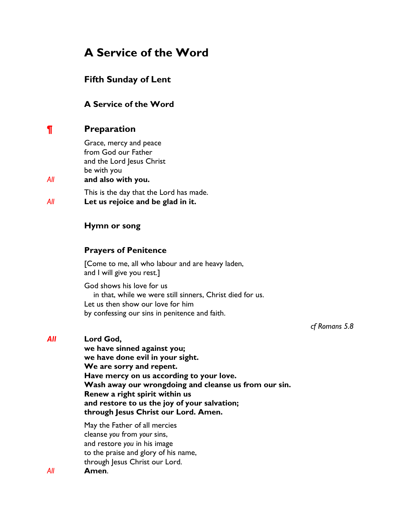# **A Service of the Word**

# **Fifth Sunday of Lent**

# **A Service of the Word**

# **¶ Preparation**

Grace, mercy and peace from God our Father and the Lord Jesus Christ be with you

# *All* **and also with you.**

This is the day that the Lord has made. *All* **Let us rejoice and be glad in it.**

# **Hymn or song**

# **Prayers of Penitence**

[Come to me, all who labour and are heavy laden, and I will give you rest.]

God shows his love for us in that, while we were still sinners, Christ died for us. Let us then show our love for him by confessing our sins in penitence and faith.

*cf Romans 5.8*

### *All* **Lord God,**

**we have sinned against you; we have done evil in your sight. We are sorry and repent. Have mercy on us according to your love. Wash away our wrongdoing and cleanse us from our sin. Renew a right spirit within us and restore to us the joy of your salvation; through Jesus Christ our Lord. Amen.** 

May the Father of all mercies cleanse *you* from *your* sins, and restore *you* in his image to the praise and glory of his name, through Jesus Christ our Lord. *All* **Amen**.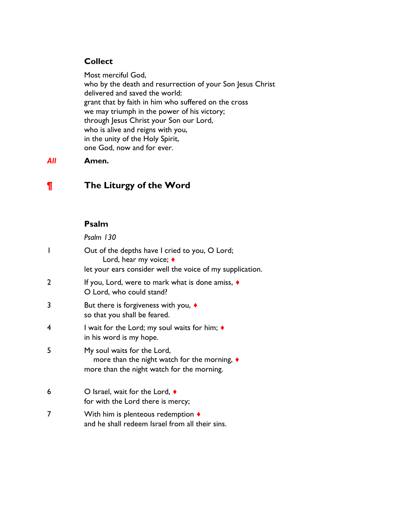# **Collect**

Most merciful God, who by the death and resurrection of your Son Jesus Christ delivered and saved the world: grant that by faith in him who suffered on the cross we may triumph in the power of his victory; through Jesus Christ your Son our Lord, who is alive and reigns with you, in the unity of the Holy Spirit, one God, now and for ever.

### *All* **Amen.**

# **¶ The Liturgy of the Word**

#### **Psalm**

*Psalm 130*

| I              | Out of the depths have I cried to you, O Lord;<br>Lord, hear my voice; ♦<br>let your ears consider well the voice of my supplication. |
|----------------|---------------------------------------------------------------------------------------------------------------------------------------|
| $\overline{2}$ | If you, Lord, were to mark what is done amiss, $\triangleleft$<br>O Lord, who could stand?                                            |
| 3              | But there is forgiveness with you, $\triangleleft$<br>so that you shall be feared.                                                    |
| 4              | I wait for the Lord; my soul waits for him; $\blacklozenge$<br>in his word is my hope.                                                |
| 5              | My soul waits for the Lord,<br>more than the night watch for the morning, ♦<br>more than the night watch for the morning.             |
| 6              | O Israel, wait for the Lord, $\triangleleft$<br>for with the Lord there is mercy;                                                     |
| 7              | With him is plenteous redemption $\blacklozenge$<br>and he shall redeem Israel from all their sins.                                   |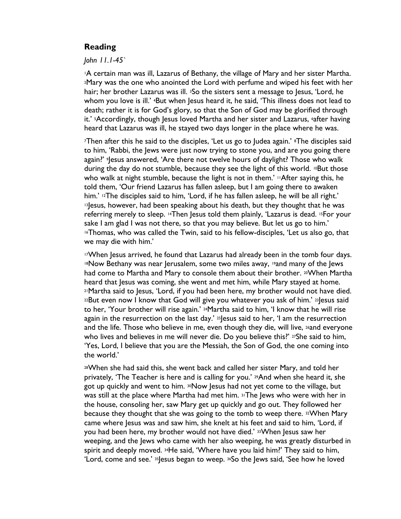### **Reading**

*John 11.1-45`*

<sup>1</sup>A certain man was ill, Lazarus of Bethany, the village of Mary and her sister Martha. <sup>2</sup>Mary was the one who anointed the Lord with perfume and wiped his feet with her hair; her brother Lazarus was ill. 3So the sisters sent a message to Jesus, 'Lord, he whom you love is ill.' <sup>4</sup>But when Jesus heard it, he said, 'This illness does not lead to death; rather it is for God's glory, so that the Son of God may be glorified through it.' <sup>5</sup>Accordingly, though Jesus loved Martha and her sister and Lazarus, <sup>6</sup>after having heard that Lazarus was ill, he stayed two days longer in the place where he was.

<sup>7</sup>Then after this he said to the disciples, 'Let us go to Judea again.' 8The disciples said to him, 'Rabbi, the Jews were just now trying to stone you, and are you going there again?' <sup>9</sup> esus answered, 'Are there not twelve hours of daylight? Those who walk during the day do not stumble, because they see the light of this world.  $^{10}$ But those who walk at night stumble, because the light is not in them.'  $\mathsf{I}$  After saying this, he told them, 'Our friend Lazarus has fallen asleep, but I am going there to awaken him.' <sup>12</sup>The disciples said to him, 'Lord, if he has fallen asleep, he will be all right.' <sup>13</sup>Jesus, however, had been speaking about his death, but they thought that he was referring merely to sleep. 14Then Jesus told them plainly, 'Lazarus is dead. 15For your sake I am glad I was not there, so that you may believe. But let us go to him.' <sup>16</sup>Thomas, who was called the Twin, said to his fellow-disciples, 'Let us also go, that we may die with him.'

<sup>17</sup>When Jesus arrived, he found that Lazarus had already been in the tomb four days. <sup>18</sup>Now Bethany was near Jerusalem, some two miles away, 19and many of the Jews had come to Martha and Mary to console them about their brother. 20 When Martha heard that Jesus was coming, she went and met him, while Mary stayed at home. <sup>21</sup>Martha said to Jesus, 'Lord, if you had been here, my brother would not have died.  $22$ But even now I know that God will give you whatever you ask of him.'  $23$  Jesus said to her, 'Your brother will rise again.' <sup>24</sup>Martha said to him, 'I know that he will rise again in the resurrection on the last day.'  $25$  esus said to her, 'I am the resurrection and the life. Those who believe in me, even though they die, will live, <sup>26</sup>and everyone who lives and believes in me will never die. Do you believe this?'  $27$ She said to him, 'Yes, Lord, I believe that you are the Messiah, the Son of God, the one coming into the world.'

<sup>28</sup>When she had said this, she went back and called her sister Mary, and told her privately, 'The Teacher is here and is calling for you.' 29And when she heard it, she got up quickly and went to him. 30Now Jesus had not yet come to the village, but was still at the place where Martha had met him. 31The Jews who were with her in the house, consoling her, saw Mary get up quickly and go out. They followed her because they thought that she was going to the tomb to weep there. 32When Mary came where Jesus was and saw him, she knelt at his feet and said to him, 'Lord, if you had been here, my brother would not have died.' 33When Jesus saw her weeping, and the Jews who came with her also weeping, he was greatly disturbed in spirit and deeply moved. 34He said, 'Where have you laid him?' They said to him, 'Lord, come and see.'  $35$  esus began to weep.  $36$  the Jews said, 'See how he loved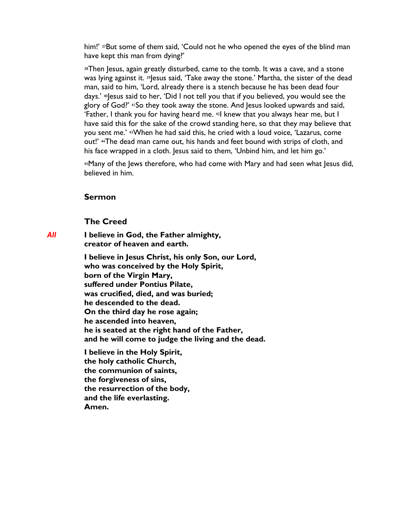him!' 37But some of them said, 'Could not he who opened the eyes of the blind man have kept this man from dying?'

<sup>38</sup>Then Jesus, again greatly disturbed, came to the tomb. It was a cave, and a stone was lying against it. 39 esus said, 'Take away the stone.' Martha, the sister of the dead man, said to him, 'Lord, already there is a stench because he has been dead four days.' <sup>40</sup> esus said to her, 'Did I not tell you that if you believed, you would see the glory of God?' 41So they took away the stone. And Jesus looked upwards and said, 'Father, I thank you for having heard me. 42I knew that you always hear me, but I have said this for the sake of the crowd standing here, so that they may believe that you sent me.' 43When he had said this, he cried with a loud voice, 'Lazarus, come out!' 44The dead man came out, his hands and feet bound with strips of cloth, and his face wrapped in a cloth. Jesus said to them, 'Unbind him, and let him go.'

<sup>45</sup>Many of the Jews therefore, who had come with Mary and had seen what Jesus did, believed in him.

#### **Sermon**

#### **The Creed**

*All* **I believe in God, the Father almighty, creator of heaven and earth.**

> **I believe in Jesus Christ, his only Son, our Lord, who was conceived by the Holy Spirit, born of the Virgin Mary, suffered under Pontius Pilate, was crucified, died, and was buried; he descended to the dead. On the third day he rose again; he ascended into heaven, he is seated at the right hand of the Father, and he will come to judge the living and the dead.**

**I believe in the Holy Spirit, the holy catholic Church, the communion of saints, the forgiveness of sins, the resurrection of the body, and the life everlasting. Amen.**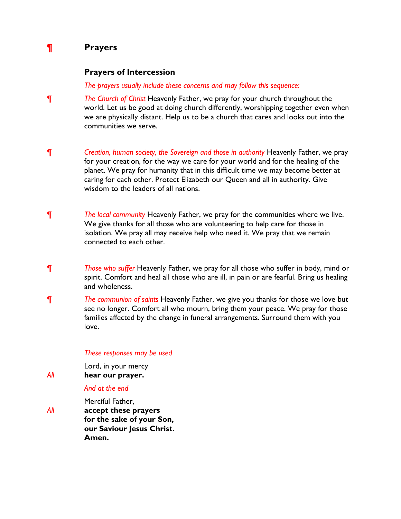# **¶ Prayers**

### **Prayers of Intercession**

*The prayers usually include these concerns and may follow this sequence:*

- *¶ The Church of Christ* Heavenly Father, we pray for your church throughout the world. Let us be good at doing church differently, worshipping together even when we are physically distant. Help us to be a church that cares and looks out into the communities we serve.
- *¶ Creation, human society, the Sovereign and those in authority Heavenly Father, we pray* for your creation, for the way we care for your world and for the healing of the planet. We pray for humanity that in this difficult time we may become better at caring for each other. Protect Elizabeth our Queen and all in authority. Give wisdom to the leaders of all nations.
- *¶ The local community* Heavenly Father, we pray for the communities where we live. We give thanks for all those who are volunteering to help care for those in isolation. We pray all may receive help who need it. We pray that we remain connected to each other.
- *¶ Those who suffer* Heavenly Father, we pray for all those who suffer in body, mind or spirit. Comfort and heal all those who are ill, in pain or are fearful. Bring us healing and wholeness.
- *¶ The communion of saints* Heavenly Father, we give you thanks for those we love but see no longer. Comfort all who mourn, bring them your peace. We pray for those families affected by the change in funeral arrangements. Surround them with you love.

#### *These responses may be used*

Lord, in your mercy *All* **hear our prayer.**

#### *And at the end*

Merciful Father, *All* **accept these prayers for the sake of your Son, our Saviour Jesus Christ. Amen.**